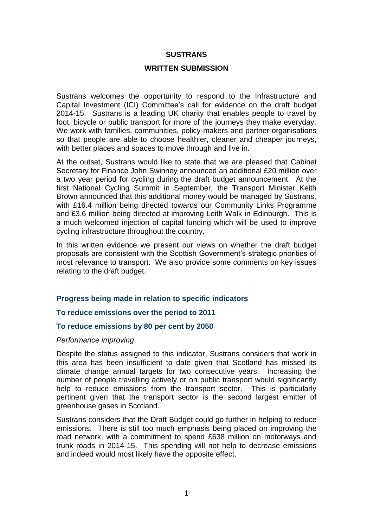#### **SUSTRANS**

#### **WRITTEN SUBMISSION**

Sustrans welcomes the opportunity to respond to the Infrastructure and Capital Investment (ICI) Committee's call for evidence on the draft budget 2014-15. Sustrans is a leading UK charity that enables people to travel by foot, bicycle or public transport for more of the journeys they make everyday. We work with families, communities, policy-makers and partner organisations so that people are able to choose healthier, cleaner and cheaper journeys, with better places and spaces to move through and live in.

At the outset, Sustrans would like to state that we are pleased that Cabinet Secretary for Finance John Swinney announced an additional £20 million over a two year period for cycling during the draft budget announcement. At the first National Cycling Summit in September, the Transport Minister Keith Brown announced that this additional money would be managed by Sustrans, with £16.4 million being directed towards our Community Links Programme and £3.6 million being directed at improving Leith Walk in Edinburgh. This is a much welcomed injection of capital funding which will be used to improve cycling infrastructure throughout the country.

In this written evidence we present our views on whether the draft budget proposals are consistent with the Scottish Government's strategic priorities of most relevance to transport. We also provide some comments on key issues relating to the draft budget.

## **Progress being made in relation to specific indicators**

#### **To reduce emissions over the period to 2011**

## **To reduce emissions by 80 per cent by 2050**

#### *Performance improving*

Despite the status assigned to this indicator, Sustrans considers that work in this area has been insufficient to date given that Scotland has missed its climate change annual targets for two consecutive years. Increasing the number of people travelling actively or on public transport would significantly help to reduce emissions from the transport sector. This is particularly pertinent given that the transport sector is the second largest emitter of greenhouse gases in Scotland.

Sustrans considers that the Draft Budget could go further in helping to reduce emissions. There is still too much emphasis being placed on improving the road network, with a commitment to spend £638 million on motorways and trunk roads in 2014-15. This spending will not help to decrease emissions and indeed would most likely have the opposite effect.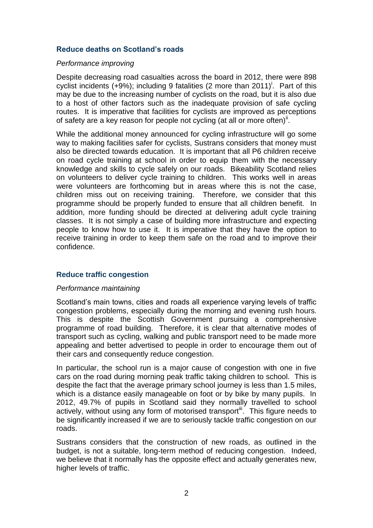## **Reduce deaths on Scotland's roads**

### *Performance improving*

Despite decreasing road casualties across the board in 2012, there were 898 cyclist incidents  $(+9%)$ ; including 9 fatalities (2 more than 2011)<sup>i</sup>. Part of this may be due to the increasing number of cyclists on the road, but it is also due to a host of other factors such as the inadequate provision of safe cycling routes. It is imperative that facilities for cyclists are improved as perceptions of safety are a key reason for people not cycling (at all or more often)<sup>ii</sup>.

While the additional money announced for cycling infrastructure will go some way to making facilities safer for cyclists, Sustrans considers that money must also be directed towards education. It is important that all P6 children receive on road cycle training at school in order to equip them with the necessary knowledge and skills to cycle safely on our roads. Bikeability Scotland relies on volunteers to deliver cycle training to children. This works well in areas were volunteers are forthcoming but in areas where this is not the case, children miss out on receiving training. Therefore, we consider that this programme should be properly funded to ensure that all children benefit. In addition, more funding should be directed at delivering adult cycle training classes. It is not simply a case of building more infrastructure and expecting people to know how to use it. It is imperative that they have the option to receive training in order to keep them safe on the road and to improve their confidence.

## **Reduce traffic congestion**

## *Performance maintaining*

Scotland's main towns, cities and roads all experience varying levels of traffic congestion problems, especially during the morning and evening rush hours. This is despite the Scottish Government pursuing a comprehensive programme of road building. Therefore, it is clear that alternative modes of transport such as cycling, walking and public transport need to be made more appealing and better advertised to people in order to encourage them out of their cars and consequently reduce congestion.

In particular, the school run is a major cause of congestion with one in five cars on the road during morning peak traffic taking children to school. This is despite the fact that the average primary school journey is less than 1.5 miles, which is a distance easily manageable on foot or by bike by many pupils. In 2012, 49.7% of pupils in Scotland said they normally travelled to school actively, without using any form of motorised transport<sup>in</sup>. This figure needs to be significantly increased if we are to seriously tackle traffic congestion on our roads.

Sustrans considers that the construction of new roads, as outlined in the budget, is not a suitable, long-term method of reducing congestion. Indeed, we believe that it normally has the opposite effect and actually generates new, higher levels of traffic.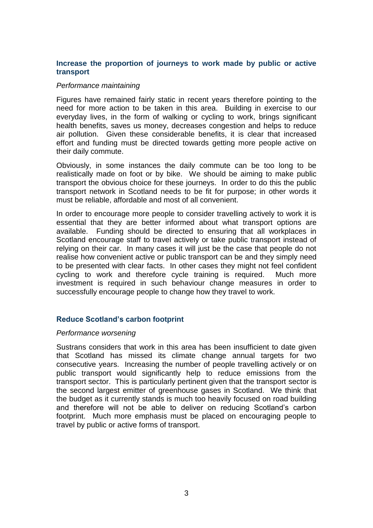# **Increase the proportion of journeys to work made by public or active transport**

#### *Performance maintaining*

Figures have remained fairly static in recent years therefore pointing to the need for more action to be taken in this area. Building in exercise to our everyday lives, in the form of walking or cycling to work, brings significant health benefits, saves us money, decreases congestion and helps to reduce air pollution. Given these considerable benefits, it is clear that increased effort and funding must be directed towards getting more people active on their daily commute.

Obviously, in some instances the daily commute can be too long to be realistically made on foot or by bike. We should be aiming to make public transport the obvious choice for these journeys. In order to do this the public transport network in Scotland needs to be fit for purpose; in other words it must be reliable, affordable and most of all convenient.

In order to encourage more people to consider travelling actively to work it is essential that they are better informed about what transport options are available. Funding should be directed to ensuring that all workplaces in Scotland encourage staff to travel actively or take public transport instead of relying on their car. In many cases it will just be the case that people do not realise how convenient active or public transport can be and they simply need to be presented with clear facts. In other cases they might not feel confident cycling to work and therefore cycle training is required. Much more investment is required in such behaviour change measures in order to successfully encourage people to change how they travel to work.

## **Reduce Scotland's carbon footprint**

#### *Performance worsening*

Sustrans considers that work in this area has been insufficient to date given that Scotland has missed its climate change annual targets for two consecutive years. Increasing the number of people travelling actively or on public transport would significantly help to reduce emissions from the transport sector. This is particularly pertinent given that the transport sector is the second largest emitter of greenhouse gases in Scotland. We think that the budget as it currently stands is much too heavily focused on road building and therefore will not be able to deliver on reducing Scotland's carbon footprint. Much more emphasis must be placed on encouraging people to travel by public or active forms of transport.